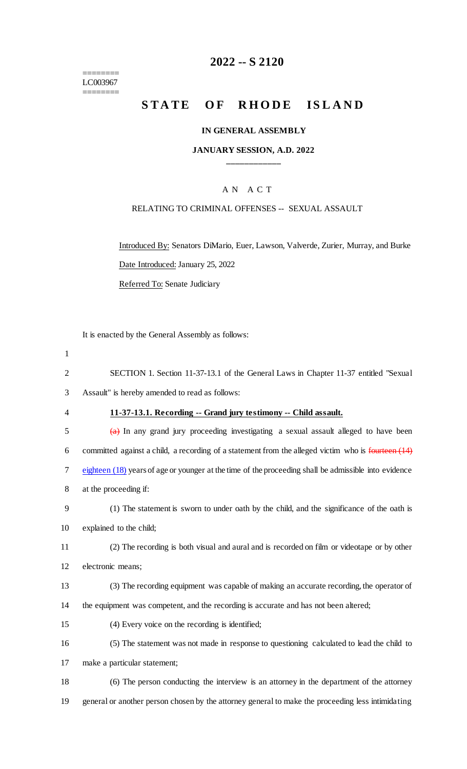======== LC003967 ========

# **2022 -- S 2120**

# **STATE OF RHODE ISLAND**

#### **IN GENERAL ASSEMBLY**

#### **JANUARY SESSION, A.D. 2022 \_\_\_\_\_\_\_\_\_\_\_\_**

#### A N A C T

#### RELATING TO CRIMINAL OFFENSES -- SEXUAL ASSAULT

Introduced By: Senators DiMario, Euer, Lawson, Valverde, Zurier, Murray, and Burke Date Introduced: January 25, 2022 Referred To: Senate Judiciary

It is enacted by the General Assembly as follows:

1 SECTION 1. Section 11-37-13.1 of the General Laws in Chapter 11-37 entitled "Sexual Assault" is hereby amended to read as follows: **11-37-13.1. Recording -- Grand jury testimony -- Child assault.** (a) In any grand jury proceeding investigating a sexual assault alleged to have been 6 committed against a child, a recording of a statement from the alleged victim who is  $\frac{\text{fourteen}}{\text{(14)}}$  eighteen (18) years of age or younger at the time of the proceeding shall be admissible into evidence at the proceeding if: (1) The statement is sworn to under oath by the child, and the significance of the oath is explained to the child; (2) The recording is both visual and aural and is recorded on film or videotape or by other electronic means; (3) The recording equipment was capable of making an accurate recording, the operator of the equipment was competent, and the recording is accurate and has not been altered; (4) Every voice on the recording is identified; (5) The statement was not made in response to questioning calculated to lead the child to make a particular statement; (6) The person conducting the interview is an attorney in the department of the attorney general or another person chosen by the attorney general to make the proceeding less intimidating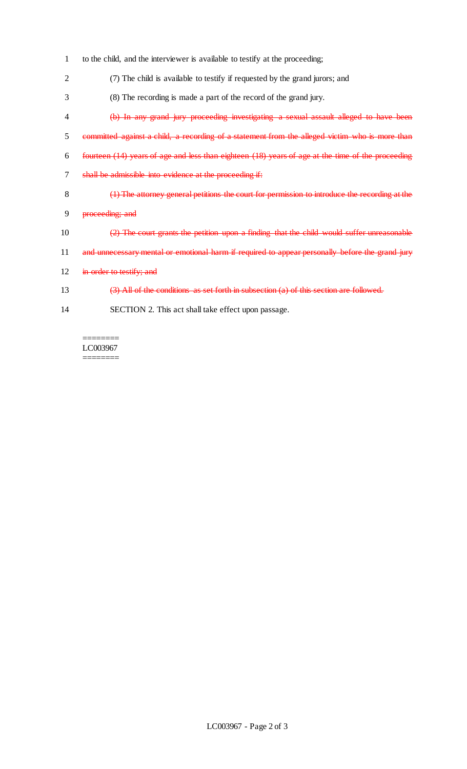- 1 to the child, and the interviewer is available to testify at the proceeding;
- 2 (7) The child is available to testify if requested by the grand jurors; and
- 3 (8) The recording is made a part of the record of the grand jury.
- 4 (b) In any grand jury proceeding investigating a sexual assault alleged to have been
- 5 committed against a child, a recording of a statement from the alleged victim who is more than
- 6 fourteen (14) years of age and less than eighteen (18) years of age at the time of the proceeding
- 7 shall be admissible into evidence at the proceeding if:
- 8 (1) The attorney general petitions the court for permission to introduce the recording at the
- 9 proceeding; and
- 10 (2) The court grants the petition upon a finding that the child would suffer unreasonable
- 11 and unnecessary mental or emotional harm if required to appear personally before the grand jury
- 12 in order to testify; and
- 13 (3) All of the conditions as set forth in subsection (a) of this section are followed.
- 14 SECTION 2. This act shall take effect upon passage.

======== LC003967 ========